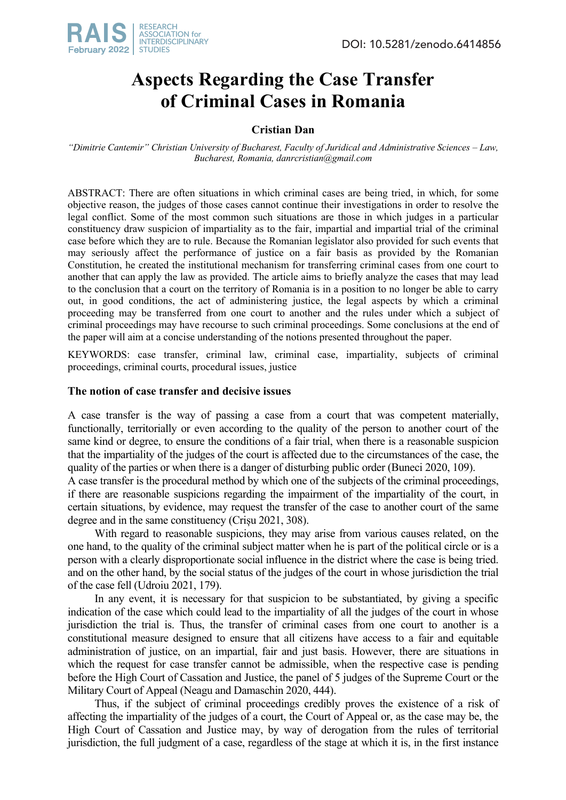

# **Aspects Regarding the Case Transfer of Criminal Cases in Romania**

## **Cristian Dan**

*"Dimitrie Cantemir" Christian University of Bucharest, Faculty of Juridical and Administrative Sciences – Law, Bucharest, Romania, danrcristian@gmail.com*

ABSTRACT: There are often situations in which criminal cases are being tried, in which, for some objective reason, the judges of those cases cannot continue their investigations in order to resolve the legal conflict. Some of the most common such situations are those in which judges in a particular constituency draw suspicion of impartiality as to the fair, impartial and impartial trial of the criminal case before which they are to rule. Because the Romanian legislator also provided for such events that may seriously affect the performance of justice on a fair basis as provided by the Romanian Constitution, he created the institutional mechanism for transferring criminal cases from one court to another that can apply the law as provided. The article aims to briefly analyze the cases that may lead to the conclusion that a court on the territory of Romania is in a position to no longer be able to carry out, in good conditions, the act of administering justice, the legal aspects by which a criminal proceeding may be transferred from one court to another and the rules under which a subject of criminal proceedings may have recourse to such criminal proceedings. Some conclusions at the end of the paper will aim at a concise understanding of the notions presented throughout the paper.

KEYWORDS: case transfer, criminal law, criminal case, impartiality, subjects of criminal proceedings, criminal courts, procedural issues, justice

### **The notion of case transfer and decisive issues**

A case transfer is the way of passing a case from a court that was competent materially, functionally, territorially or even according to the quality of the person to another court of the same kind or degree, to ensure the conditions of a fair trial, when there is a reasonable suspicion that the impartiality of the judges of the court is affected due to the circumstances of the case, the quality of the parties or when there is a danger of disturbing public order (Buneci 2020, 109).

A case transfer is the procedural method by which one of the subjects of the criminal proceedings, if there are reasonable suspicions regarding the impairment of the impartiality of the court, in certain situations, by evidence, may request the transfer of the case to another court of the same degree and in the same constituency (Crișu 2021, 308).

With regard to reasonable suspicions, they may arise from various causes related, on the one hand, to the quality of the criminal subject matter when he is part of the political circle or is a person with a clearly disproportionate social influence in the district where the case is being tried. and on the other hand, by the social status of the judges of the court in whose jurisdiction the trial of the case fell (Udroiu 2021, 179).

In any event, it is necessary for that suspicion to be substantiated, by giving a specific indication of the case which could lead to the impartiality of all the judges of the court in whose jurisdiction the trial is. Thus, the transfer of criminal cases from one court to another is a constitutional measure designed to ensure that all citizens have access to a fair and equitable administration of justice, on an impartial, fair and just basis. However, there are situations in which the request for case transfer cannot be admissible, when the respective case is pending before the High Court of Cassation and Justice, the panel of 5 judges of the Supreme Court or the Military Court of Appeal (Neagu and Damaschin 2020, 444).

Thus, if the subject of criminal proceedings credibly proves the existence of a risk of affecting the impartiality of the judges of a court, the Court of Appeal or, as the case may be, the High Court of Cassation and Justice may, by way of derogation from the rules of territorial jurisdiction, the full judgment of a case, regardless of the stage at which it is, in the first instance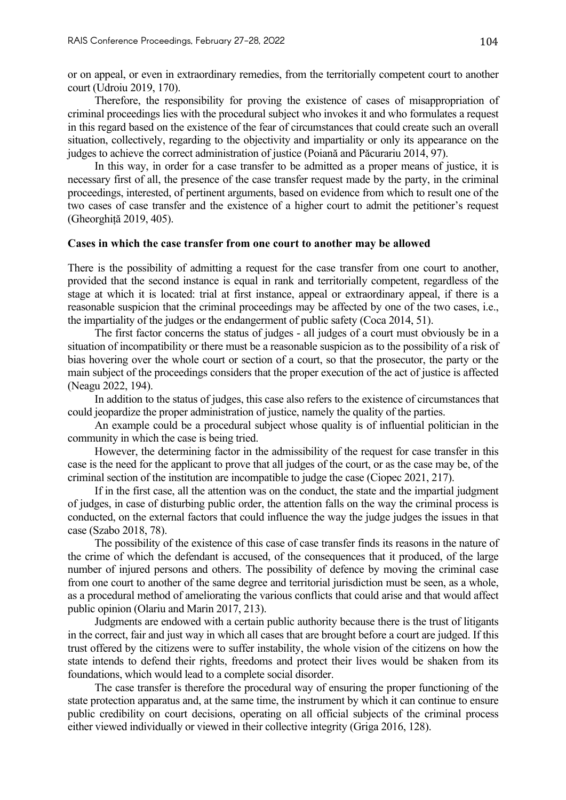or on appeal, or even in extraordinary remedies, from the territorially competent court to another court (Udroiu 2019, 170).

Therefore, the responsibility for proving the existence of cases of misappropriation of criminal proceedings lies with the procedural subject who invokes it and who formulates a request in this regard based on the existence of the fear of circumstances that could create such an overall situation, collectively, regarding to the objectivity and impartiality or only its appearance on the judges to achieve the correct administration of justice (Poiană and Păcurariu 2014, 97).

In this way, in order for a case transfer to be admitted as a proper means of justice, it is necessary first of all, the presence of the case transfer request made by the party, in the criminal proceedings, interested, of pertinent arguments, based on evidence from which to result one of the two cases of case transfer and the existence of a higher court to admit the petitioner's request (Gheorghiță 2019, 405).

#### **Cases in which the case transfer from one court to another may be allowed**

There is the possibility of admitting a request for the case transfer from one court to another, provided that the second instance is equal in rank and territorially competent, regardless of the stage at which it is located: trial at first instance, appeal or extraordinary appeal, if there is a reasonable suspicion that the criminal proceedings may be affected by one of the two cases, i.e., the impartiality of the judges or the endangerment of public safety (Coca 2014, 51).

The first factor concerns the status of judges - all judges of a court must obviously be in a situation of incompatibility or there must be a reasonable suspicion as to the possibility of a risk of bias hovering over the whole court or section of a court, so that the prosecutor, the party or the main subject of the proceedings considers that the proper execution of the act of justice is affected (Neagu 2022, 194).

In addition to the status of judges, this case also refers to the existence of circumstances that could jeopardize the proper administration of justice, namely the quality of the parties.

An example could be a procedural subject whose quality is of influential politician in the community in which the case is being tried.

However, the determining factor in the admissibility of the request for case transfer in this case is the need for the applicant to prove that all judges of the court, or as the case may be, of the criminal section of the institution are incompatible to judge the case (Ciopec 2021, 217).

If in the first case, all the attention was on the conduct, the state and the impartial judgment of judges, in case of disturbing public order, the attention falls on the way the criminal process is conducted, on the external factors that could influence the way the judge judges the issues in that case (Szabo 2018, 78).

The possibility of the existence of this case of case transfer finds its reasons in the nature of the crime of which the defendant is accused, of the consequences that it produced, of the large number of injured persons and others. The possibility of defence by moving the criminal case from one court to another of the same degree and territorial jurisdiction must be seen, as a whole, as a procedural method of ameliorating the various conflicts that could arise and that would affect public opinion (Olariu and Marin 2017, 213).

Judgments are endowed with a certain public authority because there is the trust of litigants in the correct, fair and just way in which all cases that are brought before a court are judged. If this trust offered by the citizens were to suffer instability, the whole vision of the citizens on how the state intends to defend their rights, freedoms and protect their lives would be shaken from its foundations, which would lead to a complete social disorder.

The case transfer is therefore the procedural way of ensuring the proper functioning of the state protection apparatus and, at the same time, the instrument by which it can continue to ensure public credibility on court decisions, operating on all official subjects of the criminal process either viewed individually or viewed in their collective integrity (Griga 2016, 128).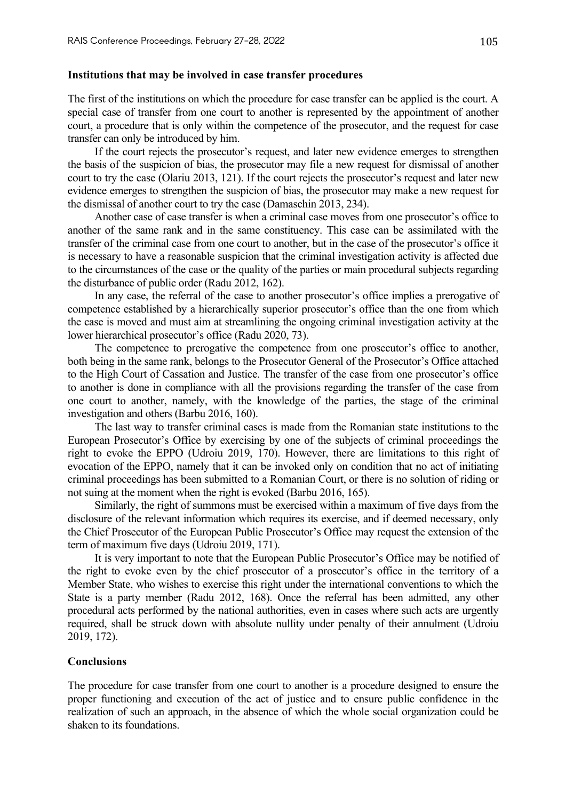#### **Institutions that may be involved in case transfer procedures**

The first of the institutions on which the procedure for case transfer can be applied is the court. A special case of transfer from one court to another is represented by the appointment of another court, a procedure that is only within the competence of the prosecutor, and the request for case transfer can only be introduced by him.

If the court rejects the prosecutor's request, and later new evidence emerges to strengthen the basis of the suspicion of bias, the prosecutor may file a new request for dismissal of another court to try the case (Olariu 2013, 121). If the court rejects the prosecutor's request and later new evidence emerges to strengthen the suspicion of bias, the prosecutor may make a new request for the dismissal of another court to try the case (Damaschin 2013, 234).

Another case of case transfer is when a criminal case moves from one prosecutor's office to another of the same rank and in the same constituency. This case can be assimilated with the transfer of the criminal case from one court to another, but in the case of the prosecutor's office it is necessary to have a reasonable suspicion that the criminal investigation activity is affected due to the circumstances of the case or the quality of the parties or main procedural subjects regarding the disturbance of public order (Radu 2012, 162).

In any case, the referral of the case to another prosecutor's office implies a prerogative of competence established by a hierarchically superior prosecutor's office than the one from which the case is moved and must aim at streamlining the ongoing criminal investigation activity at the lower hierarchical prosecutor's office (Radu 2020, 73).

The competence to prerogative the competence from one prosecutor's office to another, both being in the same rank, belongs to the Prosecutor General of the Prosecutor's Office attached to the High Court of Cassation and Justice. The transfer of the case from one prosecutor's office to another is done in compliance with all the provisions regarding the transfer of the case from one court to another, namely, with the knowledge of the parties, the stage of the criminal investigation and others (Barbu 2016, 160).

The last way to transfer criminal cases is made from the Romanian state institutions to the European Prosecutor's Office by exercising by one of the subjects of criminal proceedings the right to evoke the EPPO (Udroiu 2019, 170). However, there are limitations to this right of evocation of the EPPO, namely that it can be invoked only on condition that no act of initiating criminal proceedings has been submitted to a Romanian Court, or there is no solution of riding or not suing at the moment when the right is evoked (Barbu 2016, 165).

Similarly, the right of summons must be exercised within a maximum of five days from the disclosure of the relevant information which requires its exercise, and if deemed necessary, only the Chief Prosecutor of the European Public Prosecutor's Office may request the extension of the term of maximum five days (Udroiu 2019, 171).

It is very important to note that the European Public Prosecutor's Office may be notified of the right to evoke even by the chief prosecutor of a prosecutor's office in the territory of a Member State, who wishes to exercise this right under the international conventions to which the State is a party member (Radu 2012, 168). Once the referral has been admitted, any other procedural acts performed by the national authorities, even in cases where such acts are urgently required, shall be struck down with absolute nullity under penalty of their annulment (Udroiu 2019, 172).

#### **Conclusions**

The procedure for case transfer from one court to another is a procedure designed to ensure the proper functioning and execution of the act of justice and to ensure public confidence in the realization of such an approach, in the absence of which the whole social organization could be shaken to its foundations.